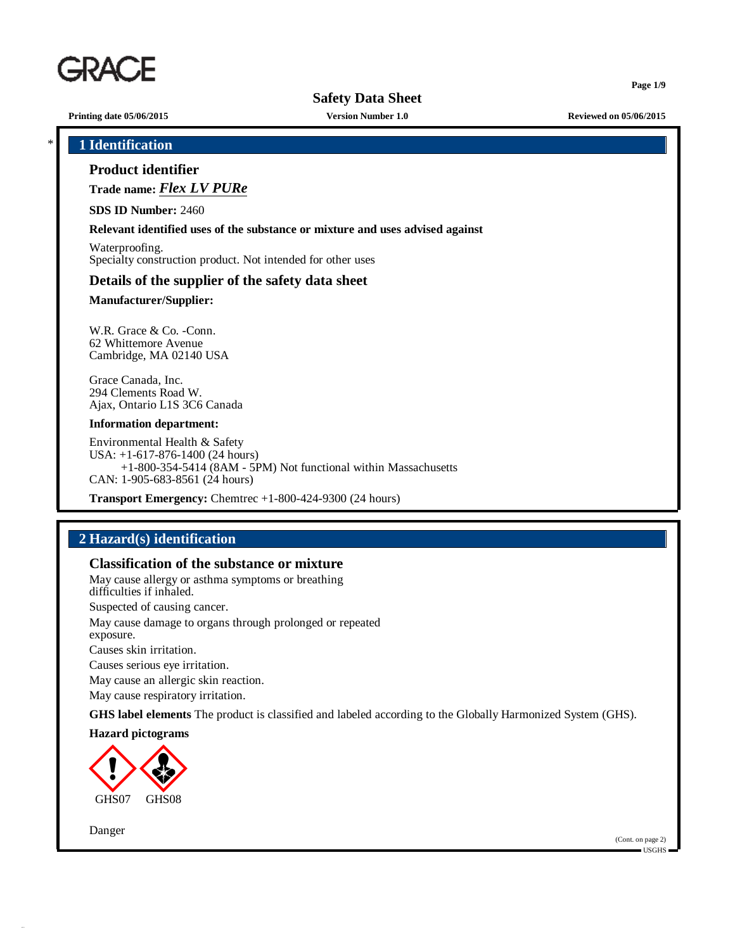

**Printing date 05/06/2015 Version Number 1.0 Reviewed on 05/06/2015**

**Page 1/9**

\* **1 Identification**

## **Product identifier**

**Trade name:** *Flex LV PURe*

**SDS ID Number:** 2460

#### **Relevant identified uses of the substance or mixture and uses advised against**

Waterproofing. Specialty construction product. Not intended for other uses

#### **Details of the supplier of the safety data sheet**

#### **Manufacturer/Supplier:**

W.R. Grace & Co. -Conn. 62 Whittemore Avenue Cambridge, MA 02140 USA

Grace Canada, Inc. 294 Clements Road W. Ajax, Ontario L1S 3C6 Canada

#### **Information department:**

Environmental Health & Safety USA: +1-617-876-1400 (24 hours) +1-800-354-5414 (8AM - 5PM) Not functional within Massachusetts CAN: 1-905-683-8561 (24 hours)

**Transport Emergency:** Chemtrec +1-800-424-9300 (24 hours)

## **2 Hazard(s) identification**

## **Classification of the substance or mixture**

May cause allergy or asthma symptoms or breathing difficulties if inhaled. Suspected of causing cancer. May cause damage to organs through prolonged or repeated exposure. Causes skin irritation. Causes serious eye irritation. May cause an allergic skin reaction.

May cause respiratory irritation.

**GHS label elements** The product is classified and labeled according to the Globally Harmonized System (GHS).

#### **Hazard pictograms**



Danger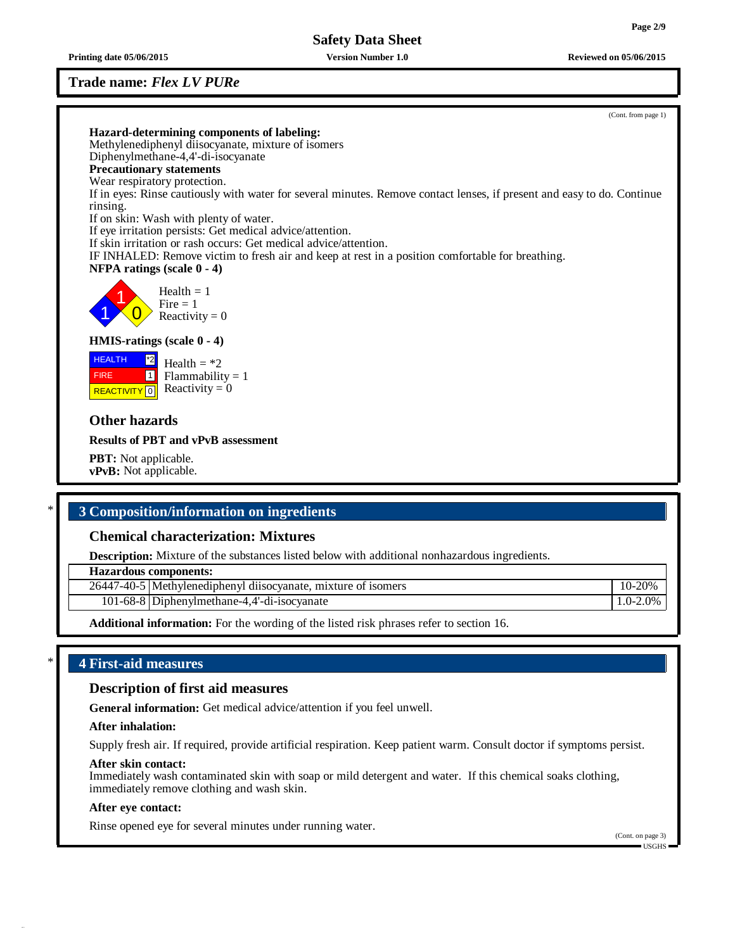## **Trade name:** *Flex LV PURe*

**Printing date 05/06/2015 Version Number 1.0 Reviewed on 05/06/2015**

(Cont. from page 1)

| Hazard-determining components of labeling:                                                                                          |
|-------------------------------------------------------------------------------------------------------------------------------------|
| Methylenediphenyl diisocyanate, mixture of isomers                                                                                  |
| Diphenylmethane-4,4'-di-isocyanate                                                                                                  |
| <b>Precautionary statements</b>                                                                                                     |
| Wear respiratory protection.                                                                                                        |
| If in eyes: Rinse cautiously with water for several minutes. Remove contact lenses, if present and easy to do. Continue<br>rinsing. |
| If on skin: Wash with plenty of water.                                                                                              |
| If eye irritation persists: Get medical advice/attention.                                                                           |
| If skin irritation or rash occurs: Get medical advice/attention.                                                                    |
| IF INHALED: Remove victim to fresh air and keep at rest in a position comfortable for breathing.                                    |
| <b>NFPA</b> ratings (scale $0 - 4$ )                                                                                                |
| Health $= 1$<br>$Fire = 1$<br>Reactivity = $0$                                                                                      |
| <b>HMIS-ratings</b> (scale $0 - 4$ )                                                                                                |
| <b>HEALTH</b><br>$^{\ast}2$<br>Health $=$ *2                                                                                        |
| $\vert$ 1<br>$Flammability = 1$<br><b>FIRE</b>                                                                                      |
| <b>REACTIVITY</b> $\boxed{0}$ Reactivity = 0                                                                                        |
|                                                                                                                                     |
| <b>Other hazards</b>                                                                                                                |
| <b>Results of PBT and vPvB assessment</b>                                                                                           |
| <b>PBT:</b> Not applicable.                                                                                                         |
|                                                                                                                                     |

**vPvB:** Not applicable.

## \* **3 Composition/information on ingredients**

## **Chemical characterization: Mixtures**

**Description:** Mixture of the substances listed below with additional nonhazardous ingredients.

**Hazardous components:**

| $(1 - 40 - 5)$<br>26447 | Methylenediphenyl diisocvanate, mixture of isomers | 20%              |
|-------------------------|----------------------------------------------------|------------------|
|                         | 101-68-8 Diphenylmethane-4,4'-di-isocyanate        | $2.0\%$<br>$0 -$ |

**Additional information:** For the wording of the listed risk phrases refer to section 16.

## \* **4 First-aid measures**

## **Description of first aid measures**

**General information:** Get medical advice/attention if you feel unwell.

### **After inhalation:**

Supply fresh air. If required, provide artificial respiration. Keep patient warm. Consult doctor if symptoms persist.

#### **After skin contact:**

Immediately wash contaminated skin with soap or mild detergent and water. If this chemical soaks clothing, immediately remove clothing and wash skin.

#### **After eye contact:**

Rinse opened eye for several minutes under running water.

(Cont. on page 3) USGHS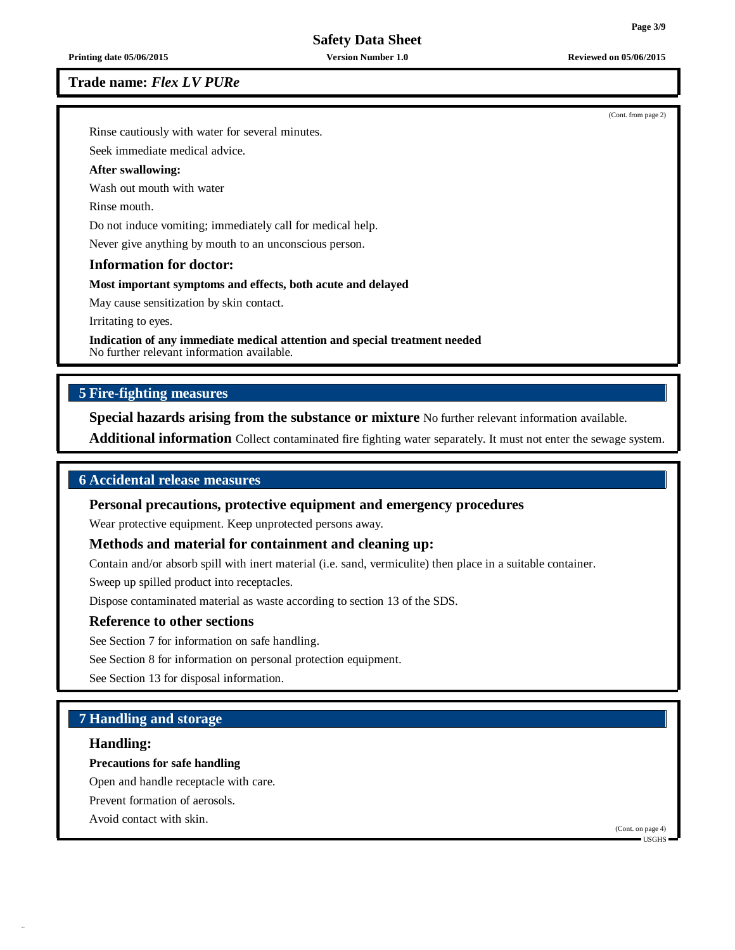**Printing date 05/06/2015 Version Number 1.0 Reviewed on 05/06/2015**

#### **Trade name:** *Flex LV PURe*

(Cont. from page 2)

Rinse cautiously with water for several minutes.

Seek immediate medical advice.

## **After swallowing:**

Wash out mouth with water

Rinse mouth.

Do not induce vomiting; immediately call for medical help.

Never give anything by mouth to an unconscious person.

## **Information for doctor:**

#### **Most important symptoms and effects, both acute and delayed**

May cause sensitization by skin contact.

Irritating to eyes.

**Indication of any immediate medical attention and special treatment needed** No further relevant information available.

## **5 Fire-fighting measures**

**Special hazards arising from the substance or mixture** No further relevant information available.

**Additional information** Collect contaminated fire fighting water separately. It must not enter the sewage system.

#### **6 Accidental release measures**

#### **Personal precautions, protective equipment and emergency procedures**

Wear protective equipment. Keep unprotected persons away.

#### **Methods and material for containment and cleaning up:**

Contain and/or absorb spill with inert material (i.e. sand, vermiculite) then place in a suitable container.

Sweep up spilled product into receptacles.

Dispose contaminated material as waste according to section 13 of the SDS.

## **Reference to other sections**

See Section 7 for information on safe handling.

See Section 8 for information on personal protection equipment.

See Section 13 for disposal information.

## **7 Handling and storage**

#### **Handling:**

#### **Precautions for safe handling**

Open and handle receptacle with care.

Prevent formation of aerosols.

Avoid contact with skin.

(Cont. on page 4) USGHS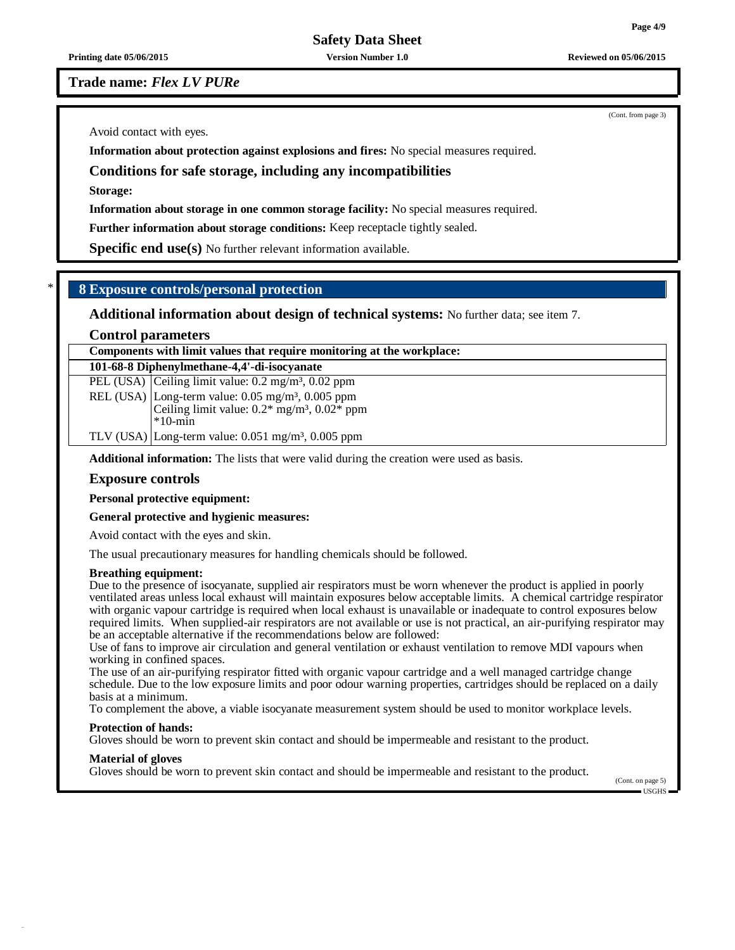**Printing date 05/06/2015 Version Number 1.0 Reviewed on 05/06/2015**

**Trade name:** *Flex LV PURe*

Avoid contact with eyes.

**Information about protection against explosions and fires:** No special measures required.

#### **Conditions for safe storage, including any incompatibilities**

**Storage:**

**Information about storage in one common storage facility:** No special measures required.

**Further information about storage conditions:** Keep receptacle tightly sealed.

**Specific end use(s)** No further relevant information available.

## \* **8 Exposure controls/personal protection**

**Additional information about design of technical systems:** No further data; see item 7.

**Control parameters**

#### **Components with limit values that require monitoring at the workplace:**

**101-68-8 Diphenylmethane-4,4'-di-isocyanate**

PEL (USA) Ceiling limit value: 0.2 mg/m<sup>3</sup>, 0.02 ppm

REL (USA) Long-term value: 0.05 mg/m<sup>3</sup>, 0.005 ppm Ceiling limit value:  $0.2*$  mg/m<sup>3</sup>,  $0.02*$  ppm \*10-min TLV (USA) Long-term value:  $0.051$  mg/m<sup>3</sup>,  $0.005$  ppm

**Additional information:** The lists that were valid during the creation were used as basis.

#### **Exposure controls**

**Personal protective equipment:**

#### **General protective and hygienic measures:**

Avoid contact with the eyes and skin.

The usual precautionary measures for handling chemicals should be followed.

#### **Breathing equipment:**

Due to the presence of isocyanate, supplied air respirators must be worn whenever the product is applied in poorly ventilated areas unless local exhaust will maintain exposures below acceptable limits. A chemical cartridge respirator with organic vapour cartridge is required when local exhaust is unavailable or inadequate to control exposures below required limits. When supplied-air respirators are not available or use is not practical, an air-purifying respirator may be an acceptable alternative if the recommendations below are followed:

Use of fans to improve air circulation and general ventilation or exhaust ventilation to remove MDI vapours when working in confined spaces.

The use of an air-purifying respirator fitted with organic vapour cartridge and a well managed cartridge change schedule. Due to the low exposure limits and poor odour warning properties, cartridges should be replaced on a daily basis at a minimum.

To complement the above, a viable isocyanate measurement system should be used to monitor workplace levels.

#### **Protection of hands:**

Gloves should be worn to prevent skin contact and should be impermeable and resistant to the product.

#### **Material of gloves**

Gloves should be worn to prevent skin contact and should be impermeable and resistant to the product.

(Cont. on page 5) USGHS

(Cont. from page 3)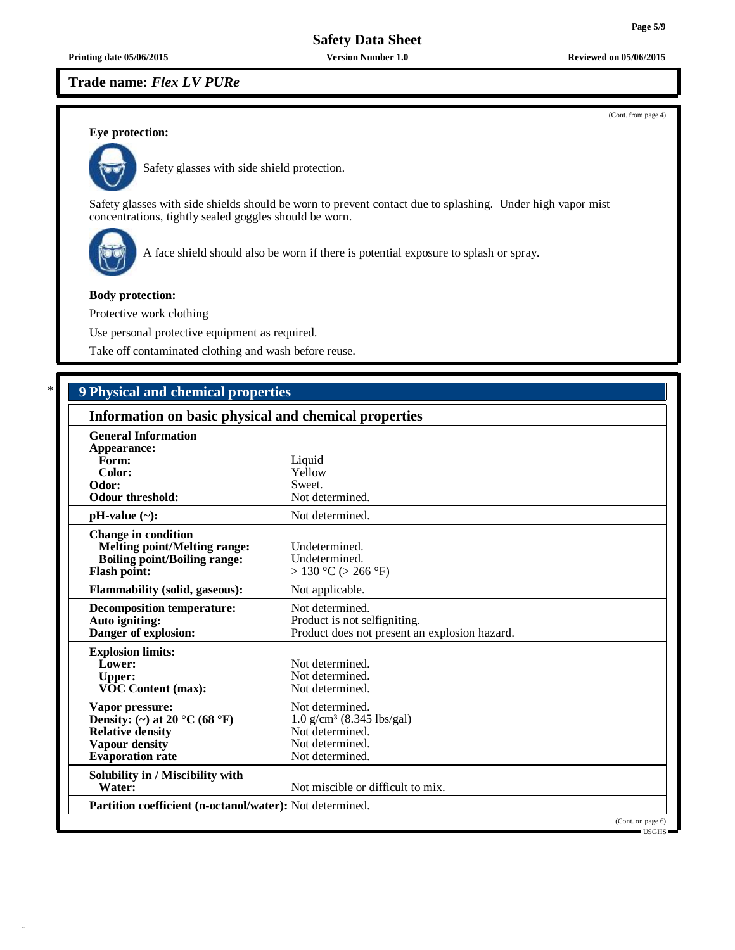#### **Trade name:** *Flex LV PURe*

(Cont. from page 4)

**Page 5/9**

## **Eye protection:**



Safety glasses with side shield protection.

Safety glasses with side shields should be worn to prevent contact due to splashing. Under high vapor mist concentrations, tightly sealed goggles should be worn.



A face shield should also be worn if there is potential exposure to splash or spray.

#### **Body protection:**

Protective work clothing

Use personal protective equipment as required.

Take off contaminated clothing and wash before reuse.

# \* **9 Physical and chemical properties**

| Information on basic physical and chemical properties                                                                           |                                                                                                                     |  |
|---------------------------------------------------------------------------------------------------------------------------------|---------------------------------------------------------------------------------------------------------------------|--|
| <b>General Information</b><br>Appearance:<br>Form:<br>Color:<br>Odor:<br><b>Odour threshold:</b>                                | Liquid<br>Yellow<br>Sweet.<br>Not determined.                                                                       |  |
| $pH-value (\sim):$                                                                                                              | Not determined.                                                                                                     |  |
| <b>Change in condition</b><br><b>Melting point/Melting range:</b><br><b>Boiling point/Boiling range:</b><br><b>Flash point:</b> | Undetermined.<br>Undetermined.<br>$> 130$ °C ( $> 266$ °F)                                                          |  |
| Flammability (solid, gaseous):                                                                                                  | Not applicable.                                                                                                     |  |
| <b>Decomposition temperature:</b><br>Auto igniting:<br>Danger of explosion:                                                     | Not determined.<br>Product is not selfigniting.<br>Product does not present an explosion hazard.                    |  |
| <b>Explosion limits:</b><br>Lower:<br><b>Upper:</b><br><b>VOC Content (max):</b>                                                | Not determined.<br>Not determined.<br>Not determined.                                                               |  |
| Vapor pressure:<br>Density: (~) at 20 °C (68 °F)<br><b>Relative density</b><br>Vapour density<br><b>Evaporation rate</b>        | Not determined.<br>$1.0$ g/cm <sup>3</sup> (8.345 lbs/gal)<br>Not determined.<br>Not determined.<br>Not determined. |  |
| Solubility in / Miscibility with<br>Water:                                                                                      | Not miscible or difficult to mix.                                                                                   |  |
| Partition coefficient (n-octanol/water): Not determined.                                                                        |                                                                                                                     |  |
|                                                                                                                                 | (Cont. on page 6)                                                                                                   |  |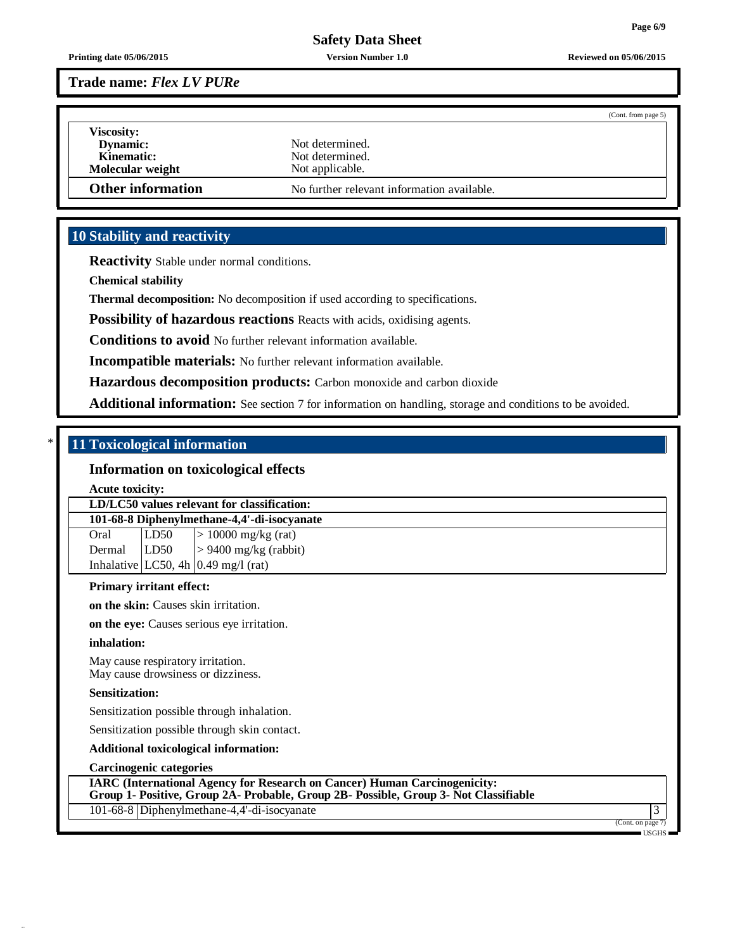**Printing date 05/06/2015 Version Number 1.0 Reviewed on 05/06/2015**

**Trade name:** *Flex LV PURe*

|                                      | (Cont. from page 5)                        |
|--------------------------------------|--------------------------------------------|
| <b>Viscosity:</b><br><b>Dynamic:</b> | Not determined.                            |
| Kinematic:                           | Not determined.                            |
| Molecular weight                     | Not applicable.                            |
| <b>Other information</b>             | No further relevant information available. |

## **10 Stability and reactivity**

**Reactivity** Stable under normal conditions.

**Chemical stability**

**Thermal decomposition:** No decomposition if used according to specifications.

**Possibility of hazardous reactions** Reacts with acids, oxidising agents.

**Conditions to avoid** No further relevant information available.

**Incompatible materials:** No further relevant information available.

**Hazardous decomposition products:** Carbon monoxide and carbon dioxide

**Additional information:** See section 7 for information on handling, storage and conditions to be avoided.

## \* **11 Toxicological information**

## **Information on toxicological effects**

**Acute toxicity:**

**LD/LC50 values relevant for classification:**

**101-68-8 Diphenylmethane-4,4'-di-isocyanate** Oral  $|LD50| > 10000$  mg/kg (rat) Dermal  $|LD50| > 9400$  mg/kg (rabbit) Inhalative  $|LC50, 4h|0.49$  mg/l (rat)

#### **Primary irritant effect:**

**on the skin:** Causes skin irritation.

**on the eye:** Causes serious eye irritation.

#### **inhalation:**

May cause respiratory irritation. May cause drowsiness or dizziness.

#### **Sensitization:**

Sensitization possible through inhalation.

Sensitization possible through skin contact.

**Additional toxicological information:**

#### **Carcinogenic categories**

**IARC (International Agency for Research on Cancer) Human Carcinogenicity: Group 1- Positive, Group 2A- Probable, Group 2B- Possible, Group 3- Not Classifiable**

101-68-8 Diphenylmethane-4,4'-di-isocyanate 3

(Cont. on page 7)

USGHS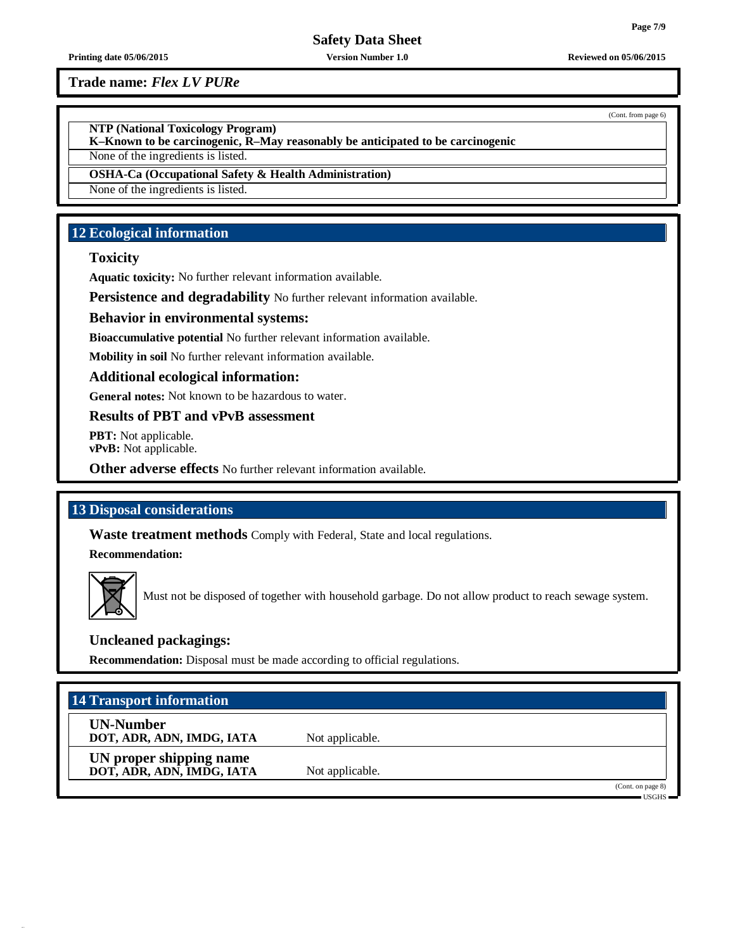**Trade name:** *Flex LV PURe*

**NTP (National Toxicology Program)**

**K–Known to be carcinogenic, R–May reasonably be anticipated to be carcinogenic** None of the ingredients is listed.

**OSHA-Ca (Occupational Safety & Health Administration)**

None of the ingredients is listed.

## **12 Ecological information**

## **Toxicity**

**Aquatic toxicity:** No further relevant information available.

**Persistence and degradability** No further relevant information available.

### **Behavior in environmental systems:**

**Bioaccumulative potential** No further relevant information available.

**Mobility in soil** No further relevant information available.

#### **Additional ecological information:**

**General notes:** Not known to be hazardous to water.

## **Results of PBT and vPvB assessment**

**PBT:** Not applicable. **vPvB:** Not applicable.

**Other adverse effects** No further relevant information available.

## **13 Disposal considerations**

**Waste treatment methods** Comply with Federal, State and local regulations.

**Recommendation:**



Must not be disposed of together with household garbage. Do not allow product to reach sewage system.

## **Uncleaned packagings:**

**Recommendation:** Disposal must be made according to official regulations.

| 14 Transport information                             |                 |                                   |
|------------------------------------------------------|-----------------|-----------------------------------|
| <b>UN-Number</b><br>DOT, ADR, ADN, IMDG, IATA        | Not applicable. |                                   |
| UN proper shipping name<br>DOT, ADR, ADN, IMDG, IATA | Not applicable. |                                   |
|                                                      |                 | (Cont. on page 8)<br><b>USGHS</b> |

(Cont. from page 6)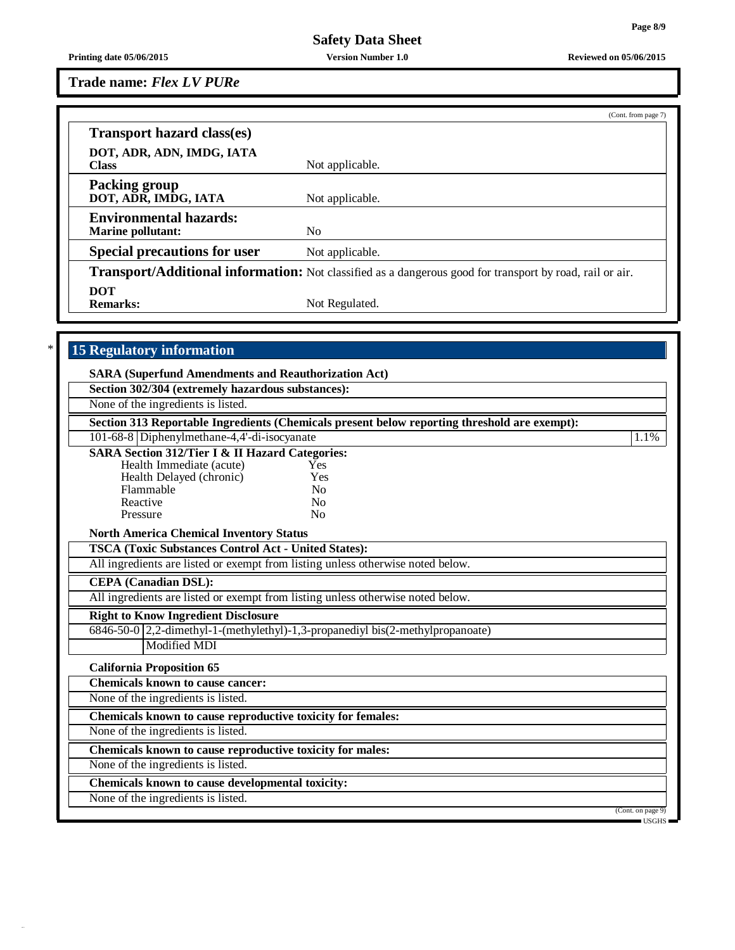**Trade name:** *Flex LV PURe*

|                                                           | (Cont. from page 7)                                                                                             |  |
|-----------------------------------------------------------|-----------------------------------------------------------------------------------------------------------------|--|
| <b>Transport hazard class(es)</b>                         |                                                                                                                 |  |
| DOT, ADR, ADN, IMDG, IATA<br><b>Class</b>                 | Not applicable.                                                                                                 |  |
| <b>Packing group</b><br>DOT, ADR, IMDG, IATA              | Not applicable.                                                                                                 |  |
| <b>Environmental hazards:</b><br><b>Marine pollutant:</b> | N <sub>0</sub>                                                                                                  |  |
| <b>Special precautions for user</b>                       | Not applicable.                                                                                                 |  |
|                                                           | <b>Transport/Additional information:</b> Not classified as a dangerous good for transport by road, rail or air. |  |
| <b>DOT</b><br><b>Remarks:</b>                             | Not Regulated.                                                                                                  |  |

# \* **15 Regulatory information**

| Section 302/304 (extremely hazardous substances):                               |                                                                                              |                                              |
|---------------------------------------------------------------------------------|----------------------------------------------------------------------------------------------|----------------------------------------------|
| None of the ingredients is listed.                                              |                                                                                              |                                              |
|                                                                                 | Section 313 Reportable Ingredients (Chemicals present below reporting threshold are exempt): |                                              |
| 101-68-8 Diphenylmethane-4,4'-di-isocyanate                                     |                                                                                              | 1.1%                                         |
| <b>SARA Section 312/Tier I &amp; II Hazard Categories:</b>                      |                                                                                              |                                              |
| Health Immediate (acute)                                                        | Yes                                                                                          |                                              |
| Health Delayed (chronic)                                                        | Yes                                                                                          |                                              |
| Flammable                                                                       | N <sub>0</sub>                                                                               |                                              |
| Reactive                                                                        | No                                                                                           |                                              |
| Pressure                                                                        | No                                                                                           |                                              |
| <b>North America Chemical Inventory Status</b>                                  |                                                                                              |                                              |
| <b>TSCA (Toxic Substances Control Act - United States):</b>                     |                                                                                              |                                              |
| All ingredients are listed or exempt from listing unless otherwise noted below. |                                                                                              |                                              |
| <b>CEPA</b> (Canadian DSL):                                                     |                                                                                              |                                              |
| All ingredients are listed or exempt from listing unless otherwise noted below. |                                                                                              |                                              |
| <b>Right to Know Ingredient Disclosure</b>                                      |                                                                                              |                                              |
| 6846-50-0 2,2-dimethyl-1-(methylethyl)-1,3-propanediyl bis(2-methylpropanoate)  |                                                                                              |                                              |
| <b>Modified MDI</b>                                                             |                                                                                              |                                              |
| <b>California Proposition 65</b>                                                |                                                                                              |                                              |
| <b>Chemicals known to cause cancer:</b>                                         |                                                                                              |                                              |
| None of the ingredients is listed.                                              |                                                                                              |                                              |
| Chemicals known to cause reproductive toxicity for females:                     |                                                                                              |                                              |
| None of the ingredients is listed.                                              |                                                                                              |                                              |
| Chemicals known to cause reproductive toxicity for males:                       |                                                                                              |                                              |
| None of the ingredients is listed.                                              |                                                                                              |                                              |
| Chemicals known to cause developmental toxicity:                                |                                                                                              |                                              |
| None of the ingredients is listed.                                              |                                                                                              |                                              |
|                                                                                 |                                                                                              | (Cont. on page 9)<br>$\equiv$ USGHS $\equiv$ |